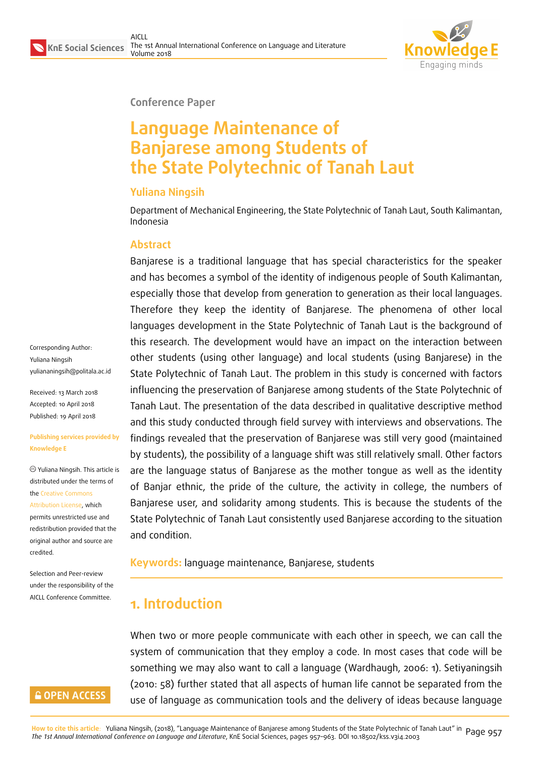

**Conference Paper**

# **Language Maintenance of Banjarese among Students of the State Polytechnic of Tanah Laut**

#### **Yuliana Ningsih**

Department of Mechanical Engineering, the State Polytechnic of Tanah Laut, South Kalimantan, Indonesia

#### **Abstract**

Banjarese is a traditional language that has special characteristics for the speaker and has becomes a symbol of the identity of indigenous people of South Kalimantan, especially those that develop from generation to generation as their local languages. Therefore they keep the identity of Banjarese. The phenomena of other local languages development in the State Polytechnic of Tanah Laut is the background of this research. The development would have an impact on the interaction between other students (using other language) and local students (using Banjarese) in the State Polytechnic of Tanah Laut. The problem in this study is concerned with factors influencing the preservation of Banjarese among students of the State Polytechnic of Tanah Laut. The presentation of the data described in qualitative descriptive method and this study conducted through field survey with interviews and observations. The findings revealed that the preservation of Banjarese was still very good (maintained by students), the possibility of a language shift was still relatively small. Other factors are the language status of Banjarese as the mother tongue as well as the identity of Banjar ethnic, the pride of the culture, the activity in college, the numbers of Banjarese user, and solidarity among students. This is because the students of the State Polytechnic of Tanah Laut consistently used Banjarese according to the situation and condition.

#### **Keywords:** language maintenance, Banjarese, students

## **1. Introduction**

When two or more people communicate with each other in speech, we can call the system of communication that they employ a code. In most cases that code will be something we may also want to call a language (Wardhaugh, 2006: 1). Setiyaningsih (2010: 58) further stated that all aspects of human life cannot be separated from the use of language as communication tools and the delivery of ideas because language

<mark>How to cite this article</mark>: Yuliana Ningsih, (2018), "Language Maintenance of Banjarese among Students of the State Polytechnic of Tanah Laut" in Page 957<br>*The 1st Annual International Conference on Language and Liter* 

Corresponding Author: Yuliana Ningsih yuliananingsih@politala.ac.id

Received: 13 March 2018 Accepted: 10 April 2018 [Published: 19 April 2018](mailto:yuliananingsih@politala.ac.id)

#### **Publishing services provided by Knowledge E**

Yuliana Ningsih. This article is distributed under the terms of the Creative Commons Attribution License, which permits unrestricted use and redistribution provided that the ori[ginal author and sou](https://creativecommons.org/licenses/by/4.0/)rce are [credited.](https://creativecommons.org/licenses/by/4.0/)

Selection and Peer-review under the responsibility of the AICLL Conference Committee.

#### **GOPEN ACCESS**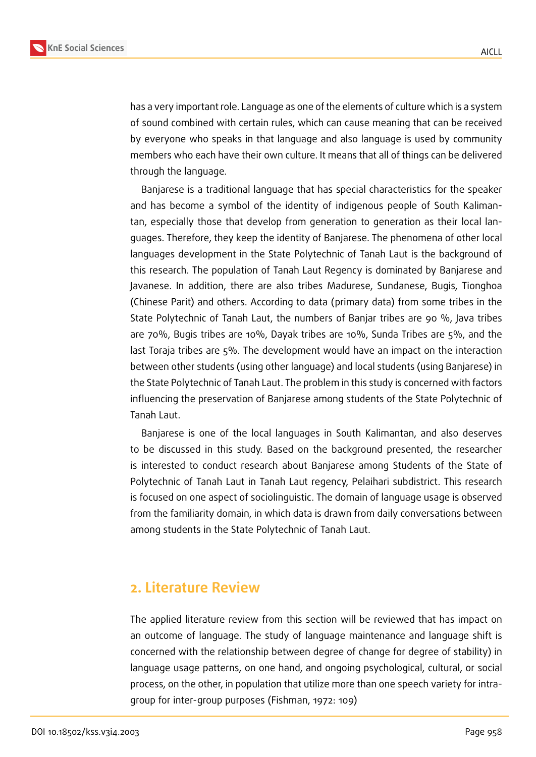

has a very important role. Language as one of the elements of culture which is a system of sound combined with certain rules, which can cause meaning that can be received by everyone who speaks in that language and also language is used by community members who each have their own culture. It means that all of things can be delivered through the language.

Banjarese is a traditional language that has special characteristics for the speaker and has become a symbol of the identity of indigenous people of South Kalimantan, especially those that develop from generation to generation as their local languages. Therefore, they keep the identity of Banjarese. The phenomena of other local languages development in the State Polytechnic of Tanah Laut is the background of this research. The population of Tanah Laut Regency is dominated by Banjarese and Javanese. In addition, there are also tribes Madurese, Sundanese, Bugis, Tionghoa (Chinese Parit) and others. According to data (primary data) from some tribes in the State Polytechnic of Tanah Laut, the numbers of Banjar tribes are 90 %, Java tribes are 70%, Bugis tribes are 10%, Dayak tribes are 10%, Sunda Tribes are 5%, and the last Toraja tribes are 5%. The development would have an impact on the interaction between other students (using other language) and local students (using Banjarese) in the State Polytechnic of Tanah Laut. The problem in this study is concerned with factors influencing the preservation of Banjarese among students of the State Polytechnic of Tanah Laut.

Banjarese is one of the local languages in South Kalimantan, and also deserves to be discussed in this study. Based on the background presented, the researcher is interested to conduct research about Banjarese among Students of the State of Polytechnic of Tanah Laut in Tanah Laut regency, Pelaihari subdistrict. This research is focused on one aspect of sociolinguistic. The domain of language usage is observed from the familiarity domain, in which data is drawn from daily conversations between among students in the State Polytechnic of Tanah Laut.

### **2. Literature Review**

The applied literature review from this section will be reviewed that has impact on an outcome of language. The study of language maintenance and language shift is concerned with the relationship between degree of change for degree of stability) in language usage patterns, on one hand, and ongoing psychological, cultural, or social process, on the other, in population that utilize more than one speech variety for intragroup for inter-group purposes (Fishman, 1972: 109)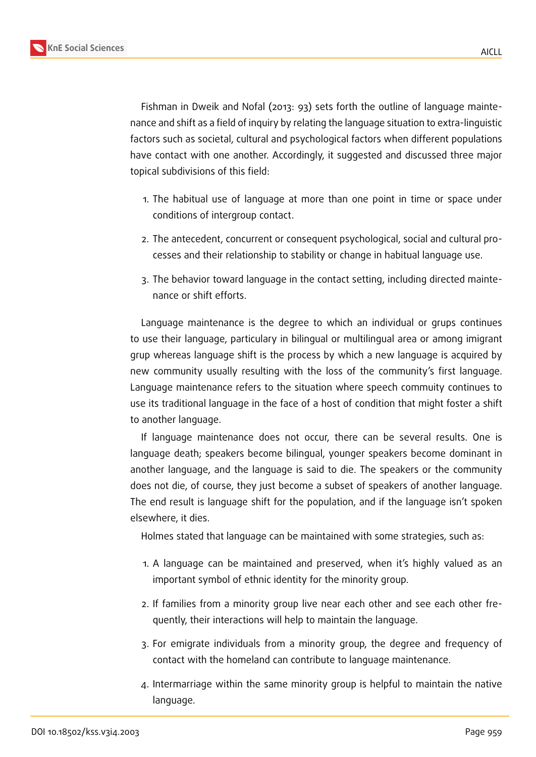

Fishman in Dweik and Nofal (2013: 93) sets forth the outline of language maintenance and shift as a field of inquiry by relating the language situation to extra-linguistic factors such as societal, cultural and psychological factors when different populations have contact with one another. Accordingly, it suggested and discussed three major topical subdivisions of this field:

- 1. The habitual use of language at more than one point in time or space under conditions of intergroup contact.
- 2. The antecedent, concurrent or consequent psychological, social and cultural processes and their relationship to stability or change in habitual language use.
- 3. The behavior toward language in the contact setting, including directed maintenance or shift efforts.

Language maintenance is the degree to which an individual or grups continues to use their language, particulary in bilingual or multilingual area or among imigrant grup whereas language shift is the process by which a new language is acquired by new community usually resulting with the loss of the community's first language. Language maintenance refers to the situation where speech commuity continues to use its traditional language in the face of a host of condition that might foster a shift to another language.

If language maintenance does not occur, there can be several results. One is language death; speakers become bilingual, younger speakers become dominant in another language, and the language is said to die. The speakers or the community does not die, of course, they just become a subset of speakers of another language. The end result is language shift for the population, and if the language isn't spoken elsewhere, it dies.

Holmes stated that language can be maintained with some strategies, such as:

- 1. A language can be maintained and preserved, when it's highly valued as an important symbol of ethnic identity for the minority group.
- 2. If families from a minority group live near each other and see each other frequently, their interactions will help to maintain the language.
- 3. For emigrate individuals from a minority group, the degree and frequency of contact with the homeland can contribute to language maintenance.
- 4. Intermarriage within the same minority group is helpful to maintain the native language.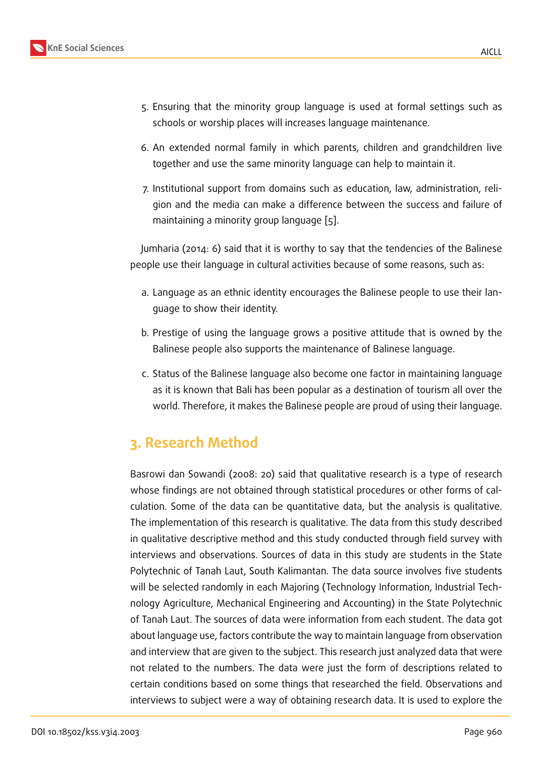- 5. Ensuring that the minority group language is used at formal settings such as schools or worship places will increases language maintenance.
- 6. An extended normal family in which parents, children and grandchildren live together and use the same minority language can help to maintain it.
- 7. Institutional support from domains such as education, law, administration, religion and the media can make a difference between the success and failure of maintaining a minority group language [5].

Jumharia (2014: 6) said that it is worthy to say that the tendencies of the Balinese people use their language in cultural activitie[s](#page-6-0) because of some reasons, such as:

- a. Language as an ethnic identity encourages the Balinese people to use their language to show their identity.
- b. Prestige of using the language grows a positive attitude that is owned by the Balinese people also supports the maintenance of Balinese language.
- c. Status of the Balinese language also become one factor in maintaining language as it is known that Bali has been popular as a destination of tourism all over the world. Therefore, it makes the Balinese people are proud of using their language.

## **3. Research Method**

Basrowi dan Sowandi (2008: 20) said that qualitative research is a type of research whose findings are not obtained through statistical procedures or other forms of calculation. Some of the data can be quantitative data, but the analysis is qualitative. The implementation of this research is qualitative. The data from this study described in qualitative descriptive method and this study conducted through field survey with interviews and observations. Sources of data in this study are students in the State Polytechnic of Tanah Laut, South Kalimantan. The data source involves five students will be selected randomly in each Majoring (Technology Information, Industrial Technology Agriculture, Mechanical Engineering and Accounting) in the State Polytechnic of Tanah Laut. The sources of data were information from each student. The data got about language use, factors contribute the way to maintain language from observation and interview that are given to the subject. This research just analyzed data that were not related to the numbers. The data were just the form of descriptions related to certain conditions based on some things that researched the field. Observations and interviews to subject were a way of obtaining research data. It is used to explore the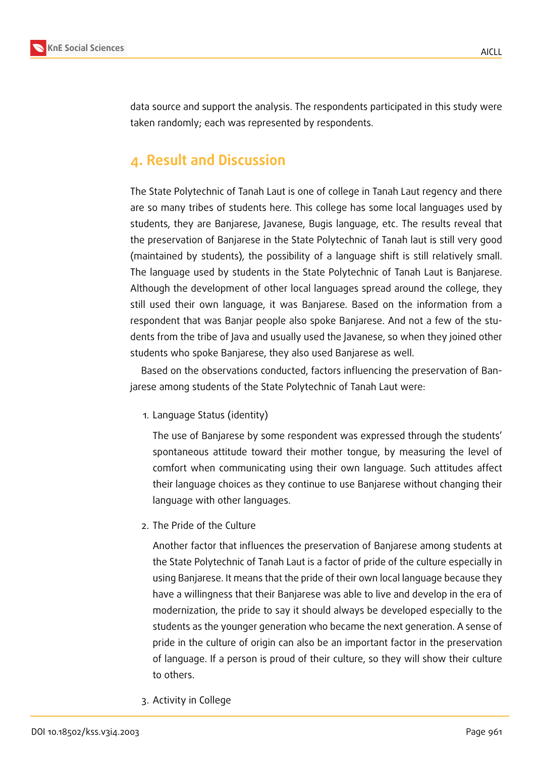

data source and support the analysis. The respondents participated in this study were taken randomly; each was represented by respondents.

### **4. Result and Discussion**

The State Polytechnic of Tanah Laut is one of college in Tanah Laut regency and there are so many tribes of students here. This college has some local languages used by students, they are Banjarese, Javanese, Bugis language, etc. The results reveal that the preservation of Banjarese in the State Polytechnic of Tanah laut is still very good (maintained by students), the possibility of a language shift is still relatively small. The language used by students in the State Polytechnic of Tanah Laut is Banjarese. Although the development of other local languages spread around the college, they still used their own language, it was Banjarese. Based on the information from a respondent that was Banjar people also spoke Banjarese. And not a few of the students from the tribe of Java and usually used the Javanese, so when they joined other students who spoke Banjarese, they also used Banjarese as well.

Based on the observations conducted, factors influencing the preservation of Banjarese among students of the State Polytechnic of Tanah Laut were:

1. Language Status (identity)

The use of Banjarese by some respondent was expressed through the students' spontaneous attitude toward their mother tongue, by measuring the level of comfort when communicating using their own language. Such attitudes affect their language choices as they continue to use Banjarese without changing their language with other languages.

2. The Pride of the Culture

Another factor that influences the preservation of Banjarese among students at the State Polytechnic of Tanah Laut is a factor of pride of the culture especially in using Banjarese. It means that the pride of their own local language because they have a willingness that their Banjarese was able to live and develop in the era of modernization, the pride to say it should always be developed especially to the students as the younger generation who became the next generation. A sense of pride in the culture of origin can also be an important factor in the preservation of language. If a person is proud of their culture, so they will show their culture to others.

3. Activity in College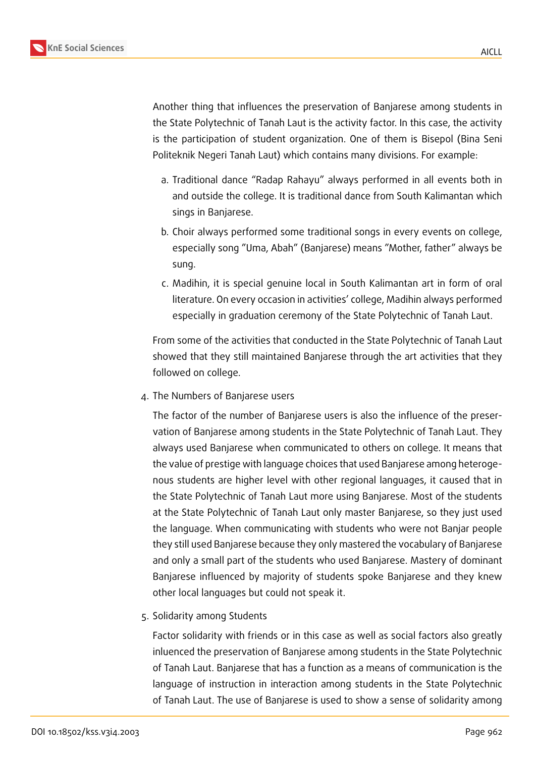Another thing that influences the preservation of Banjarese among students in the State Polytechnic of Tanah Laut is the activity factor. In this case, the activity is the participation of student organization. One of them is Bisepol (Bina Seni Politeknik Negeri Tanah Laut) which contains many divisions. For example:

- a. Traditional dance "Radap Rahayu" always performed in all events both in and outside the college. It is traditional dance from South Kalimantan which sings in Banjarese.
- b. Choir always performed some traditional songs in every events on college, especially song "Uma, Abah" (Banjarese) means "Mother, father" always be sung.
- c. Madihin, it is special genuine local in South Kalimantan art in form of oral literature. On every occasion in activities' college, Madihin always performed especially in graduation ceremony of the State Polytechnic of Tanah Laut.

From some of the activities that conducted in the State Polytechnic of Tanah Laut showed that they still maintained Banjarese through the art activities that they followed on college.

4. The Numbers of Banjarese users

The factor of the number of Banjarese users is also the influence of the preservation of Banjarese among students in the State Polytechnic of Tanah Laut. They always used Banjarese when communicated to others on college. It means that the value of prestige with language choices that used Banjarese among heterogenous students are higher level with other regional languages, it caused that in the State Polytechnic of Tanah Laut more using Banjarese. Most of the students at the State Polytechnic of Tanah Laut only master Banjarese, so they just used the language. When communicating with students who were not Banjar people they still used Banjarese because they only mastered the vocabulary of Banjarese and only a small part of the students who used Banjarese. Mastery of dominant Banjarese influenced by majority of students spoke Banjarese and they knew other local languages but could not speak it.

5. Solidarity among Students

Factor solidarity with friends or in this case as well as social factors also greatly inluenced the preservation of Banjarese among students in the State Polytechnic of Tanah Laut. Banjarese that has a function as a means of communication is the language of instruction in interaction among students in the State Polytechnic of Tanah Laut. The use of Banjarese is used to show a sense of solidarity among